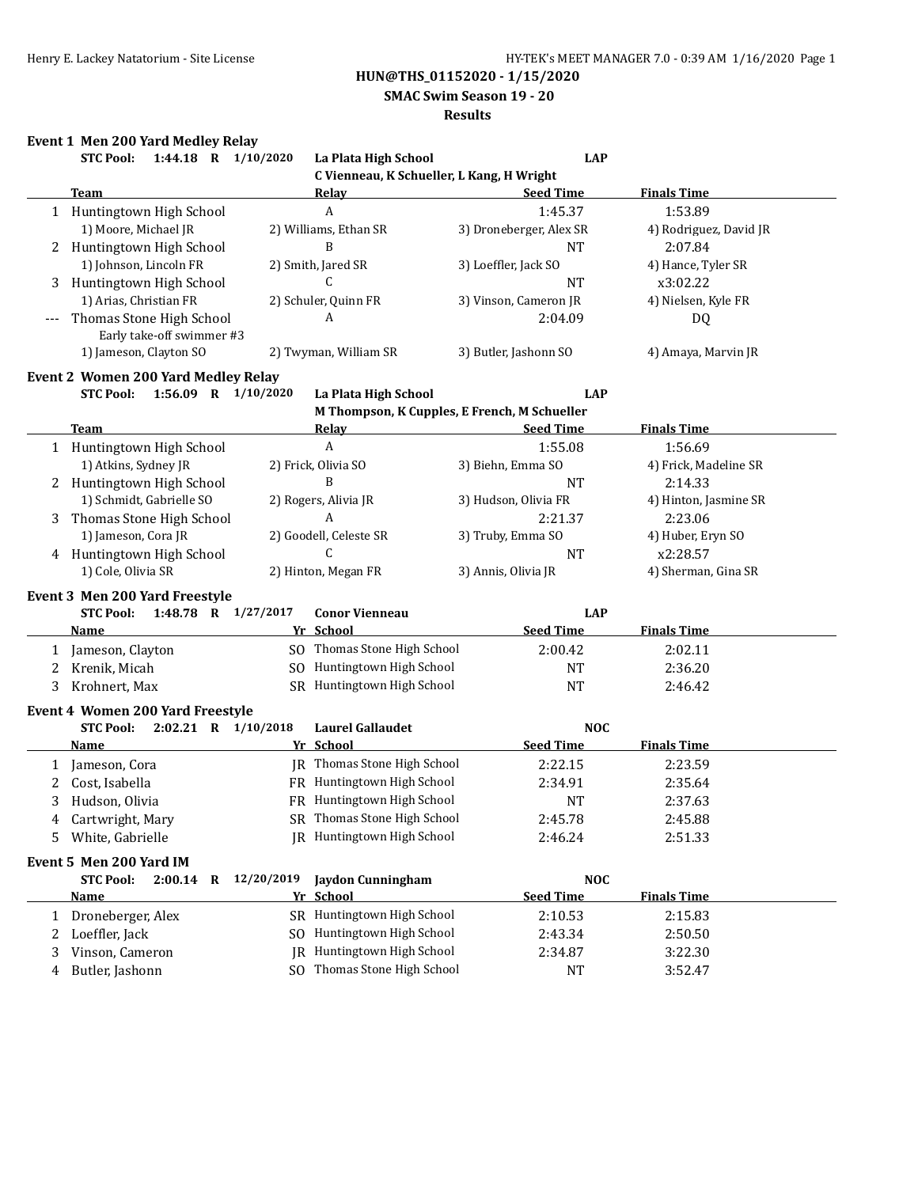**SMAC Swim Season 19 - 20**

#### **Results**

## **Event 1 Men 200 Yard Medley Relay**

|              | 1:44.18 R 1/10/2020<br><b>STC Pool:</b>               |            | La Plata High School                         | <b>LAP</b>              |                        |
|--------------|-------------------------------------------------------|------------|----------------------------------------------|-------------------------|------------------------|
|              |                                                       |            | C Vienneau, K Schueller, L Kang, H Wright    |                         |                        |
|              | <b>Team</b>                                           |            | <u>Relav</u>                                 | <b>Seed Time</b>        | <b>Finals Time</b>     |
|              | 1 Huntingtown High School                             |            | A                                            | 1:45.37                 | 1:53.89                |
|              | 1) Moore, Michael JR                                  |            | 2) Williams, Ethan SR                        | 3) Droneberger, Alex SR | 4) Rodriguez, David JR |
|              | 2 Huntingtown High School                             |            | B                                            | <b>NT</b>               | 2:07.84                |
|              | 1) Johnson, Lincoln FR                                |            | 2) Smith, Jared SR                           | 3) Loeffler, Jack SO    | 4) Hance, Tyler SR     |
|              | Huntingtown High School                               |            | C                                            | <b>NT</b>               | x3:02.22               |
|              | 1) Arias, Christian FR                                |            | 2) Schuler, Quinn FR                         | 3) Vinson, Cameron JR   | 4) Nielsen, Kyle FR    |
|              | Thomas Stone High School<br>Early take-off swimmer #3 |            | A                                            | 2:04.09                 | DQ                     |
|              | 1) Jameson, Clayton SO                                |            | 2) Twyman, William SR                        | 3) Butler, Jashonn SO   | 4) Amaya, Marvin JR    |
|              | <b>Event 2 Women 200 Yard Medley Relay</b>            |            |                                              |                         |                        |
|              | <b>STC Pool:</b><br>1:56.09 R 1/10/2020               |            | La Plata High School                         | <b>LAP</b>              |                        |
|              |                                                       |            | M Thompson, K Cupples, E French, M Schueller |                         |                        |
|              | <b>Team</b>                                           |            | <b>Relay</b>                                 | <b>Seed Time</b>        | <b>Finals Time</b>     |
|              | 1 Huntingtown High School                             |            | A                                            | 1:55.08                 | 1:56.69                |
|              | 1) Atkins, Sydney JR                                  |            | 2) Frick, Olivia SO                          | 3) Biehn, Emma SO       | 4) Frick, Madeline SR  |
|              | 2 Huntingtown High School                             |            | B                                            | <b>NT</b>               | 2:14.33                |
|              | 1) Schmidt, Gabrielle SO                              |            | 2) Rogers, Alivia JR                         | 3) Hudson, Olivia FR    | 4) Hinton, Jasmine SR  |
| 3            | Thomas Stone High School                              |            | A                                            | 2:21.37                 | 2:23.06                |
|              | 1) Jameson, Cora JR                                   |            | 2) Goodell, Celeste SR                       | 3) Truby, Emma SO       | 4) Huber, Eryn SO      |
|              | 4 Huntingtown High School                             |            | C                                            | <b>NT</b>               | x2:28.57               |
|              | 1) Cole, Olivia SR                                    |            | 2) Hinton, Megan FR                          | 3) Annis, Olivia JR     | 4) Sherman, Gina SR    |
|              |                                                       |            |                                              |                         |                        |
|              | <b>Event 3 Men 200 Yard Freestyle</b>                 |            |                                              |                         |                        |
|              | 1:48.78 R 1/27/2017<br><b>STC Pool:</b>               |            | <b>Conor Vienneau</b>                        | <b>LAP</b>              |                        |
|              | Name                                                  |            | Yr School                                    | <b>Seed Time</b>        | <b>Finals Time</b>     |
| 1            | Jameson, Clayton                                      |            | SO Thomas Stone High School                  | 2:00.42                 | 2:02.11                |
| 2            | Krenik, Micah                                         |            | SO Huntingtown High School                   | <b>NT</b>               | 2:36.20                |
| 3            | Krohnert, Max                                         |            | SR Huntingtown High School                   | <b>NT</b>               | 2:46.42                |
|              | <b>Event 4 Women 200 Yard Freestyle</b>               |            |                                              |                         |                        |
|              | $2:02.21$ R $1/10/2018$<br><b>STC Pool:</b>           |            | <b>Laurel Gallaudet</b>                      | <b>NOC</b>              |                        |
|              | Name                                                  |            | Yr School                                    | <b>Seed Time</b>        | <b>Finals Time</b>     |
| 1            | Jameson, Cora                                         |            | JR Thomas Stone High School                  | 2:22.15                 | 2:23.59                |
| 2            | Cost, Isabella                                        |            | FR Huntingtown High School                   | 2:34.91                 | 2:35.64                |
| 3            | Hudson, Olivia                                        |            | FR Huntingtown High School                   | <b>NT</b>               | 2:37.63                |
| 4            | Cartwright, Mary                                      |            | SR Thomas Stone High School                  | 2:45.78                 | 2:45.88                |
| 5.           | White, Gabrielle                                      |            | JR Huntingtown High School                   | 2:46.24                 | 2:51.33                |
|              |                                                       |            |                                              |                         |                        |
|              | Event 5 Men 200 Yard IM                               |            |                                              |                         |                        |
|              | <b>STC Pool:</b><br>$2:00.14$ R                       | 12/20/2019 | <b>Jaydon Cunningham</b>                     | <b>NOC</b>              |                        |
|              | <u>Name</u>                                           |            | Yr School                                    | <b>Seed Time</b>        | <b>Finals Time</b>     |
| $\mathbf{1}$ | Droneberger, Alex                                     |            | SR Huntingtown High School                   | 2:10.53                 | 2:15.83                |
| 2            | Loeffler, Jack                                        |            | SO Huntingtown High School                   | 2:43.34                 | 2:50.50                |
| 3            | Vinson, Cameron                                       |            | JR Huntingtown High School                   | 2:34.87                 | 3:22.30                |
| 4            | Butler, Jashonn                                       |            | SO Thomas Stone High School                  | NT                      | 3:52.47                |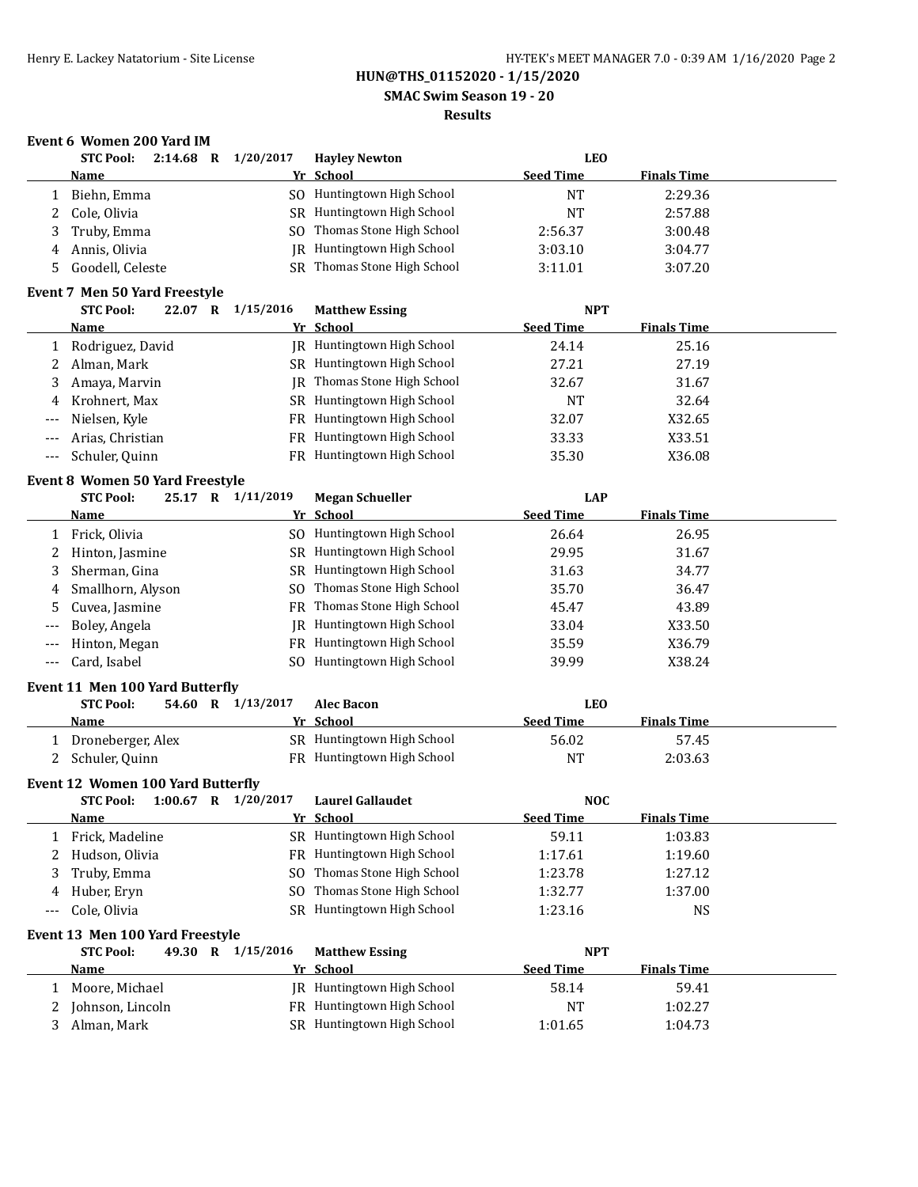**SMAC Swim Season 19 - 20**

### **Results**

## **Event 6 Women 200 Yard IM**

|                | <b>STC Pool:</b>                                         |         | 2:14.68 R 1/20/2017     | <b>Hayley Newton</b>               | <b>LEO</b>       |                    |  |
|----------------|----------------------------------------------------------|---------|-------------------------|------------------------------------|------------------|--------------------|--|
|                | <b>Name</b>                                              |         |                         | Yr School                          | <b>Seed Time</b> | <b>Finals Time</b> |  |
| 1              | Biehn, Emma                                              |         |                         | SO Huntingtown High School         | <b>NT</b>        | 2:29.36            |  |
| 2              | Cole, Olivia                                             |         |                         | SR Huntingtown High School         | <b>NT</b>        | 2:57.88            |  |
| 3              | Truby, Emma                                              |         |                         | SO Thomas Stone High School        | 2:56.37          | 3:00.48            |  |
| 4              | Annis, Olivia                                            |         |                         | JR Huntingtown High School         | 3:03.10          | 3:04.77            |  |
| 5              | Goodell, Celeste                                         |         |                         | SR Thomas Stone High School        | 3:11.01          | 3:07.20            |  |
|                |                                                          |         |                         |                                    |                  |                    |  |
|                | <b>Event 7 Men 50 Yard Freestyle</b><br><b>STC Pool:</b> |         | 22.07 R 1/15/2016       | <b>Matthew Essing</b>              | <b>NPT</b>       |                    |  |
|                |                                                          |         |                         | Yr School                          | <b>Seed Time</b> | <b>Finals Time</b> |  |
|                | <u>Name</u>                                              |         |                         | JR Huntingtown High School         |                  |                    |  |
| 1              | Rodriguez, David                                         |         |                         |                                    | 24.14            | 25.16              |  |
| 2              | Alman, Mark                                              |         |                         | SR Huntingtown High School         | 27.21            | 27.19              |  |
| 3              | Amaya, Marvin                                            |         |                         | <b>IR</b> Thomas Stone High School | 32.67            | 31.67              |  |
| 4              | Krohnert, Max                                            |         |                         | SR Huntingtown High School         | <b>NT</b>        | 32.64              |  |
| $---$          | Nielsen, Kyle                                            |         |                         | FR Huntingtown High School         | 32.07            | X32.65             |  |
| $---$          | Arias, Christian                                         |         |                         | FR Huntingtown High School         | 33.33            | X33.51             |  |
| $---$          | Schuler, Quinn                                           |         |                         | FR Huntingtown High School         | 35.30            | X36.08             |  |
|                | <b>Event 8 Women 50 Yard Freestyle</b>                   |         |                         |                                    |                  |                    |  |
|                | <b>STC Pool:</b>                                         | 25.17 R | 1/11/2019               | <b>Megan Schueller</b>             | <b>LAP</b>       |                    |  |
|                | Name                                                     |         |                         | Yr School                          | <b>Seed Time</b> | <b>Finals Time</b> |  |
| 1              | Frick, Olivia                                            |         | SO.                     | Huntingtown High School            | 26.64            | 26.95              |  |
| 2              | Hinton, Jasmine                                          |         |                         | SR Huntingtown High School         | 29.95            | 31.67              |  |
| 3              | Sherman, Gina                                            |         |                         | SR Huntingtown High School         | 31.63            | 34.77              |  |
| 4              | Smallhorn, Alyson                                        |         | SO.                     | Thomas Stone High School           | 35.70            | 36.47              |  |
| 5              | Cuvea, Jasmine                                           |         |                         | FR Thomas Stone High School        | 45.47            | 43.89              |  |
| $---$          | Boley, Angela                                            |         | IR                      | Huntingtown High School            | 33.04            | X33.50             |  |
| $---$          | Hinton, Megan                                            |         |                         | FR Huntingtown High School         | 35.59            | X36.79             |  |
| $\overline{a}$ | Card, Isabel                                             |         |                         | SO Huntingtown High School         | 39.99            | X38.24             |  |
|                |                                                          |         |                         |                                    |                  |                    |  |
|                | Event 11 Men 100 Yard Butterfly                          |         |                         |                                    |                  |                    |  |
|                | <b>STC Pool:</b>                                         |         | 54.60 R 1/13/2017       | <b>Alec Bacon</b>                  | <b>LEO</b>       |                    |  |
|                | Name                                                     |         |                         | Yr School                          | <b>Seed Time</b> | <b>Finals Time</b> |  |
| 1              | Droneberger, Alex                                        |         |                         | SR Huntingtown High School         | 56.02            | 57.45              |  |
| 2              | Schuler, Quinn                                           |         |                         | FR Huntingtown High School         | <b>NT</b>        | 2:03.63            |  |
|                | Event 12 Women 100 Yard Butterfly                        |         |                         |                                    |                  |                    |  |
|                | <b>STC Pool:</b>                                         |         | $1:00.67$ R $1/20/2017$ | <b>Laurel Gallaudet</b>            | <b>NOC</b>       |                    |  |
|                | <b>Name</b>                                              |         |                         | Yr School                          | <b>Seed Time</b> | <b>Finals Time</b> |  |
| 1              | Frick, Madeline                                          |         |                         | SR Huntingtown High School         | 59.11            | 1:03.83            |  |
| 2              | Hudson, Olivia                                           |         |                         | FR Huntingtown High School         | 1:17.61          | 1:19.60            |  |
| 3              | Truby, Emma                                              |         | SO.                     | Thomas Stone High School           | 1:23.78          | 1:27.12            |  |
| 4              | Huber, Eryn                                              |         | SO.                     | Thomas Stone High School           | 1:32.77          | 1:37.00            |  |
| $---$          | Cole, Olivia                                             |         |                         | SR Huntingtown High School         | 1:23.16          | <b>NS</b>          |  |
|                |                                                          |         |                         |                                    |                  |                    |  |
|                | Event 13 Men 100 Yard Freestyle                          |         |                         |                                    |                  |                    |  |
|                | <b>STC Pool:</b>                                         | 49.30 R | 1/15/2016               | <b>Matthew Essing</b>              | <b>NPT</b>       |                    |  |
|                | <u>Name</u>                                              |         |                         | Yr School                          | <b>Seed Time</b> | <b>Finals Time</b> |  |
| 1              | Moore, Michael                                           |         | IR                      | Huntingtown High School            | 58.14            | 59.41              |  |
| 2              | Johnson, Lincoln                                         |         |                         | FR Huntingtown High School         | <b>NT</b>        | 1:02.27            |  |
| 3              | Alman, Mark                                              |         |                         | SR Huntingtown High School         | 1:01.65          | 1:04.73            |  |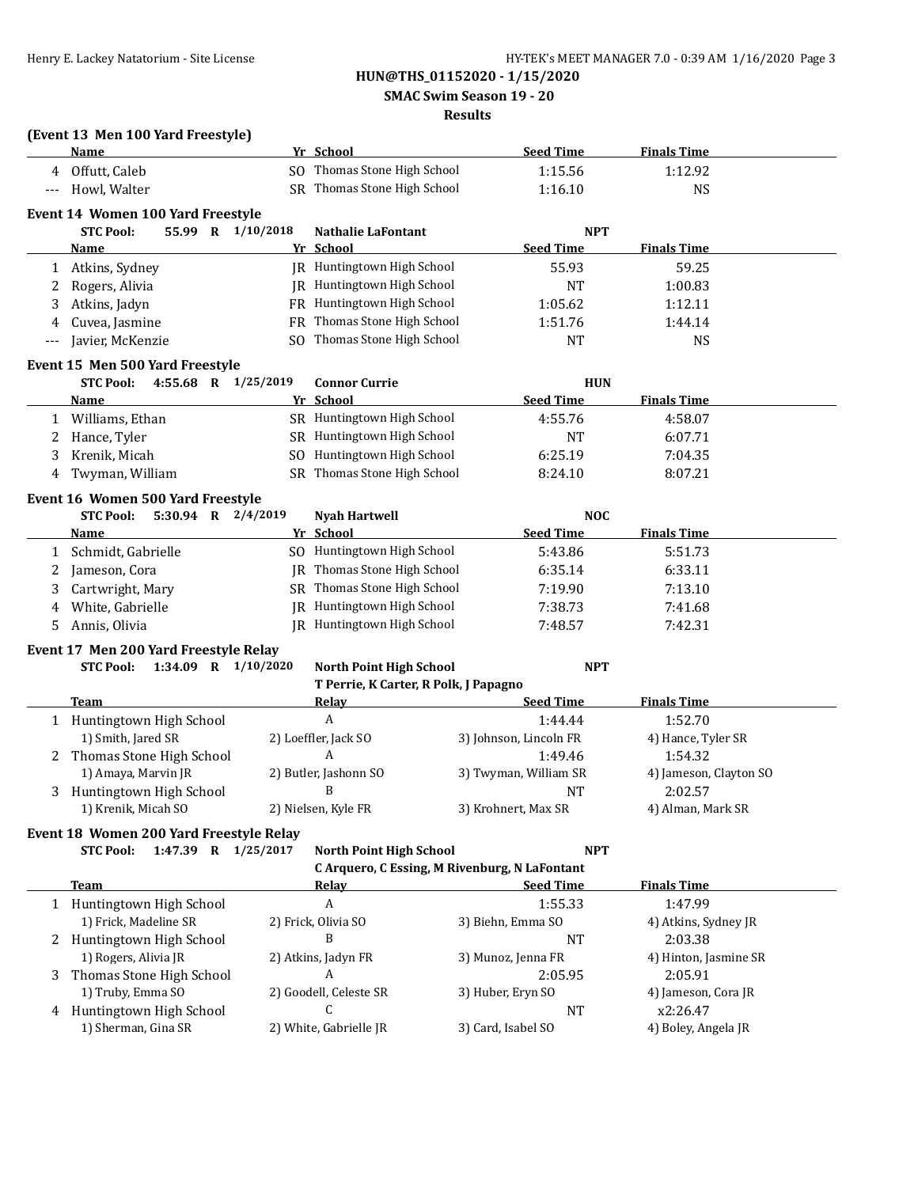**SMAC Swim Season 19 - 20**

### **Results**

|       | (Event 13 Men 100 Yard Freestyle)<br>Name         |     | Yr School                                              |                        | <b>Seed Time</b>               | <b>Finals Time</b>               |
|-------|---------------------------------------------------|-----|--------------------------------------------------------|------------------------|--------------------------------|----------------------------------|
| 4     | Offutt, Caleb                                     |     | SO Thomas Stone High School                            |                        | 1:15.56                        | 1:12.92                          |
| $---$ | Howl, Walter                                      |     | SR Thomas Stone High School                            |                        | 1:16.10                        | <b>NS</b>                        |
|       |                                                   |     |                                                        |                        |                                |                                  |
|       | Event 14 Women 100 Yard Freestyle                 |     |                                                        |                        |                                |                                  |
|       | <b>STC Pool:</b><br>55.99 R 1/10/2018<br>Name     |     | <b>Nathalie LaFontant</b><br>Yr School                 |                        | <b>NPT</b><br><b>Seed Time</b> | <b>Finals Time</b>               |
|       |                                                   |     | JR Huntingtown High School                             |                        | 55.93                          | 59.25                            |
| 1     | Atkins, Sydney<br>Rogers, Alivia                  |     | JR Huntingtown High School                             |                        | <b>NT</b>                      | 1:00.83                          |
| 2     |                                                   |     | FR Huntingtown High School                             |                        |                                |                                  |
| 3     | Atkins, Jadyn                                     |     | Thomas Stone High School                               |                        | 1:05.62                        | 1:12.11                          |
| 4     | Cuvea, Jasmine                                    | FR  | Thomas Stone High School                               |                        | 1:51.76                        | 1:44.14                          |
|       | Javier, McKenzie                                  | SO. |                                                        |                        | NT                             | <b>NS</b>                        |
|       | Event 15 Men 500 Yard Freestyle                   |     |                                                        |                        |                                |                                  |
|       | <b>STC Pool:</b><br>4:55.68 R 1/25/2019           |     | <b>Connor Currie</b>                                   |                        | <b>HUN</b>                     |                                  |
|       | <b>Name</b>                                       |     | Yr School                                              |                        | <b>Seed Time</b>               | <b>Finals Time</b>               |
|       | 1 Williams, Ethan                                 |     | SR Huntingtown High School                             |                        | 4:55.76                        | 4:58.07                          |
| 2     | Hance, Tyler                                      |     | SR Huntingtown High School                             |                        | <b>NT</b>                      | 6:07.71                          |
| 3     | Krenik, Micah                                     |     | SO Huntingtown High School                             |                        | 6:25.19                        | 7:04.35                          |
| 4     | Twyman, William                                   |     | SR Thomas Stone High School                            |                        | 8:24.10                        | 8:07.21                          |
|       | Event 16 Women 500 Yard Freestyle                 |     |                                                        |                        |                                |                                  |
|       | 5:30.94 R 2/4/2019<br><b>STC Pool:</b>            |     | <b>Nyah Hartwell</b>                                   |                        | <b>NOC</b>                     |                                  |
|       | Name                                              |     | Yr School                                              |                        | <b>Seed Time</b>               | <b>Finals Time</b>               |
| 1     | Schmidt, Gabrielle                                |     | SO Huntingtown High School                             |                        | 5:43.86                        | 5:51.73                          |
| 2     | Jameson, Cora                                     |     | JR Thomas Stone High School                            |                        | 6:35.14                        | 6:33.11                          |
| 3     | Cartwright, Mary                                  |     | SR Thomas Stone High School                            |                        | 7:19.90                        | 7:13.10                          |
| 4     | White, Gabrielle                                  |     | JR Huntingtown High School                             |                        | 7:38.73                        | 7:41.68                          |
| 5     | Annis, Olivia                                     |     | JR Huntingtown High School                             |                        | 7:48.57                        | 7:42.31                          |
|       |                                                   |     |                                                        |                        |                                |                                  |
|       | Event 17 Men 200 Yard Freestyle Relay             |     |                                                        |                        |                                |                                  |
|       | <b>STC Pool:</b><br>1:34.09 R 1/10/2020           |     | North Point High School                                |                        | <b>NPT</b>                     |                                  |
|       | Team                                              |     | T Perrie, K Carter, R Polk, J Papagno<br><b>Relay</b>  |                        | <b>Seed Time</b>               | <b>Finals Time</b>               |
|       | 1 Huntingtown High School                         |     | A                                                      |                        | 1:44.44                        | 1:52.70                          |
|       | 1) Smith, Jared SR                                |     | 2) Loeffler, Jack SO                                   | 3) Johnson, Lincoln FR |                                | 4) Hance, Tyler SR               |
|       | 2 Thomas Stone High School                        |     | A                                                      |                        | 1:49.46                        | 1:54.32                          |
|       | 1) Amaya, Marvin JR                               |     | 2) Butler, Jashonn SO                                  | 3) Twyman, William SR  |                                | 4) Jameson, Clayton SO           |
|       | 3 Huntingtown High School                         |     | B                                                      |                        | NT                             | 2:02.57                          |
|       | 1) Krenik, Micah SO                               |     | 2) Nielsen, Kyle FR                                    | 3) Krohnert, Max SR    |                                | 4) Alman, Mark SR                |
|       |                                                   |     |                                                        |                        |                                |                                  |
|       | Event 18 Women 200 Yard Freestyle Relay           |     |                                                        |                        |                                |                                  |
|       | 1:47.39 R 1/25/2017<br><b>STC Pool:</b>           |     | North Point High School                                |                        | <b>NPT</b>                     |                                  |
|       | <b>Team</b>                                       |     | C Arquero, C Essing, M Rivenburg, N LaFontant<br>Relay |                        | <b>Seed Time</b>               | <b>Finals Time</b>               |
|       |                                                   |     | $\boldsymbol{A}$                                       |                        |                                |                                  |
|       | 1 Huntingtown High School                         |     |                                                        |                        | 1:55.33                        | 1:47.99                          |
|       | 1) Frick, Madeline SR                             |     | 2) Frick, Olivia SO<br>B                               | 3) Biehn, Emma SO      |                                | 4) Atkins, Sydney JR             |
|       | 2 Huntingtown High School<br>1) Rogers, Alivia JR |     | 2) Atkins, Jadyn FR                                    | 3) Munoz, Jenna FR     | NT                             | 2:03.38<br>4) Hinton, Jasmine SR |
|       |                                                   |     | A                                                      |                        | 2:05.95                        | 2:05.91                          |
| 3     | Thomas Stone High School<br>1) Truby, Emma SO     |     | 2) Goodell, Celeste SR                                 |                        |                                | 4) Jameson, Cora JR              |
|       |                                                   |     | $\mathsf{C}$                                           | 3) Huber, Eryn SO      |                                | x2:26.47                         |
|       | 4 Huntingtown High School<br>1) Sherman, Gina SR  |     |                                                        |                        | NT                             |                                  |
|       |                                                   |     | 2) White, Gabrielle JR                                 | 3) Card, Isabel SO     |                                | 4) Boley, Angela JR              |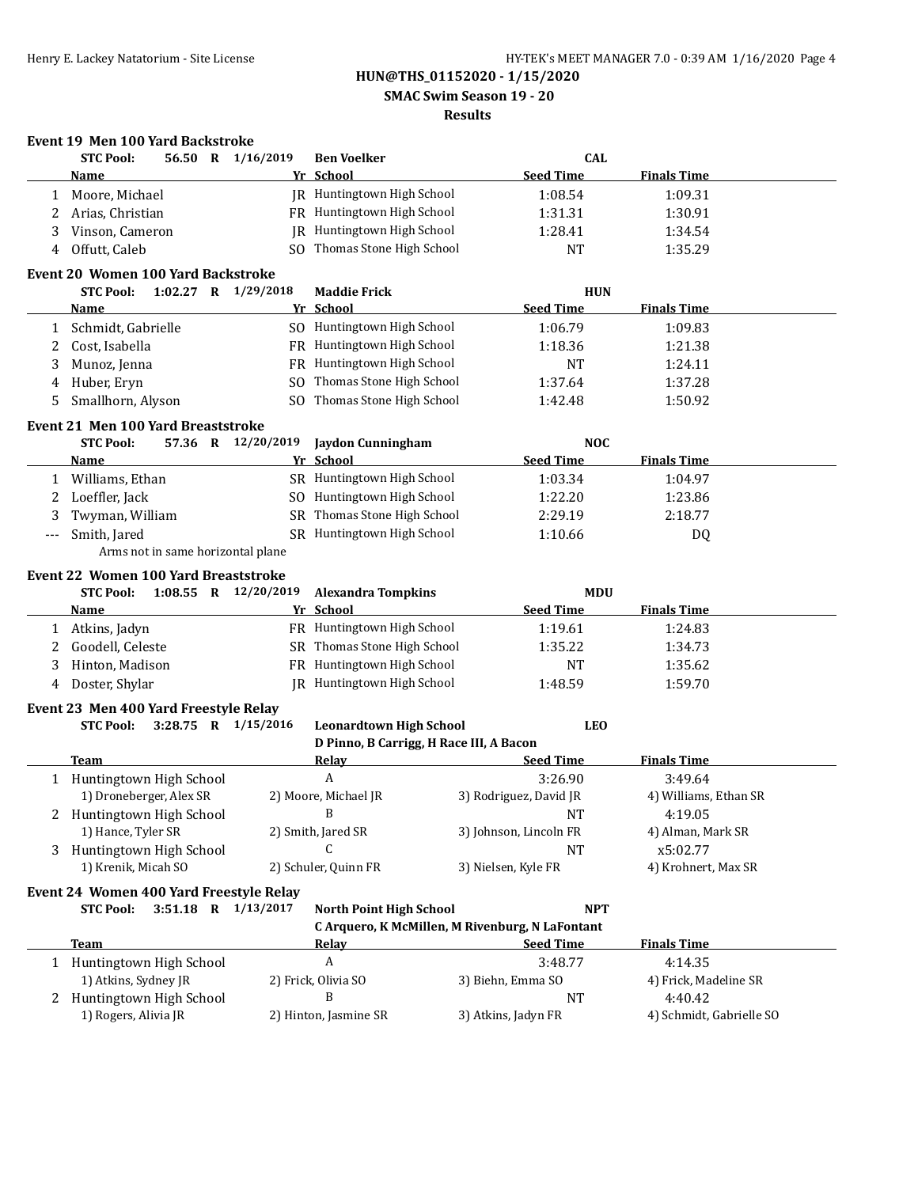**SMAC Swim Season 19 - 20**

### **Results**

### **Event 19 Men 100 Yard Backstroke**

|   | 56.50 R 1/16/2019<br><b>STC Pool:</b>                  |                    | <b>Ben Voelker</b>                      | <b>CAL</b>                                      |                          |  |
|---|--------------------------------------------------------|--------------------|-----------------------------------------|-------------------------------------------------|--------------------------|--|
|   | Name                                                   |                    | Yr School                               | <b>Seed Time</b>                                | <b>Finals Time</b>       |  |
| 1 | Moore, Michael                                         |                    | JR Huntingtown High School              | 1:08.54                                         | 1:09.31                  |  |
| 2 | Arias, Christian                                       |                    | FR Huntingtown High School              | 1:31.31                                         | 1:30.91                  |  |
| 3 | Vinson, Cameron                                        |                    | JR Huntingtown High School              | 1:28.41                                         | 1:34.54                  |  |
| 4 | Offutt, Caleb                                          |                    | SO Thomas Stone High School             | <b>NT</b>                                       | 1:35.29                  |  |
|   | <b>Event 20 Women 100 Yard Backstroke</b>              |                    |                                         |                                                 |                          |  |
|   | <b>STC Pool:</b><br>1:02.27 R 1/29/2018                |                    | <b>Maddie Frick</b>                     | <b>HUN</b>                                      |                          |  |
|   | Name                                                   |                    | Yr School                               | <b>Seed Time</b>                                | <b>Finals Time</b>       |  |
| 1 | Schmidt, Gabrielle                                     |                    | SO Huntingtown High School              | 1:06.79                                         | 1:09.83                  |  |
| 2 | Cost, Isabella                                         |                    | FR Huntingtown High School              | 1:18.36                                         | 1:21.38                  |  |
| 3 | Munoz, Jenna                                           |                    | FR Huntingtown High School              | <b>NT</b>                                       | 1:24.11                  |  |
| 4 | Huber, Eryn                                            |                    | SO Thomas Stone High School             | 1:37.64                                         | 1:37.28                  |  |
| 5 | Smallhorn, Alyson                                      |                    | SO Thomas Stone High School             | 1:42.48                                         | 1:50.92                  |  |
|   |                                                        |                    |                                         |                                                 |                          |  |
|   | Event 21 Men 100 Yard Breaststroke<br><b>STC Pool:</b> | 57.36 R 12/20/2019 | <b>Jaydon Cunningham</b>                | <b>NOC</b>                                      |                          |  |
|   | <b>Name</b>                                            |                    | Yr School                               | <b>Seed Time</b>                                | <b>Finals Time</b>       |  |
|   | 1 Williams, Ethan                                      |                    | SR Huntingtown High School              | 1:03.34                                         | 1:04.97                  |  |
| 2 | Loeffler, Jack                                         |                    | SO Huntingtown High School              | 1:22.20                                         | 1:23.86                  |  |
| 3 | Twyman, William                                        |                    | SR Thomas Stone High School             | 2:29.19                                         | 2:18.77                  |  |
|   | Smith, Jared                                           |                    | SR Huntingtown High School              | 1:10.66                                         | DQ                       |  |
|   | Arms not in same horizontal plane                      |                    |                                         |                                                 |                          |  |
|   |                                                        |                    |                                         |                                                 |                          |  |
|   | Event 22 Women 100 Yard Breaststroke                   |                    |                                         |                                                 |                          |  |
|   | <b>STC Pool:</b><br>1:08.55 R 12/20/2019               |                    | <b>Alexandra Tompkins</b>               | <b>MDU</b><br><b>Seed Time</b>                  | <b>Finals Time</b>       |  |
|   | Name                                                   |                    | Yr School                               |                                                 |                          |  |
|   | 1 Atkins, Jadyn                                        |                    | FR Huntingtown High School              | 1:19.61                                         | 1:24.83                  |  |
| 2 | Goodell, Celeste                                       |                    | SR Thomas Stone High School             | 1:35.22                                         | 1:34.73                  |  |
| 3 | Hinton, Madison                                        |                    | FR Huntingtown High School              | <b>NT</b>                                       | 1:35.62                  |  |
| 4 | Doster, Shylar                                         |                    | JR Huntingtown High School              | 1:48.59                                         | 1:59.70                  |  |
|   | Event 23 Men 400 Yard Freestyle Relay                  |                    |                                         |                                                 |                          |  |
|   | <b>STC Pool:</b><br>3:28.75 R 1/15/2016                |                    | <b>Leonardtown High School</b>          |                                                 | <b>LEO</b>               |  |
|   |                                                        |                    | D Pinno, B Carrigg, H Race III, A Bacon |                                                 |                          |  |
|   | <b>Team</b>                                            |                    | <b>Relay</b>                            | <b>Seed Time</b>                                | <b>Finals Time</b>       |  |
|   | 1 Huntingtown High School                              |                    | A                                       | 3:26.90                                         | 3:49.64                  |  |
|   | 1) Droneberger, Alex SR                                |                    | 2) Moore, Michael JR                    | 3) Rodriguez, David JR                          | 4) Williams, Ethan SR    |  |
|   | Huntingtown High School                                |                    | B                                       | <b>NT</b>                                       | 4:19.05                  |  |
|   | 1) Hance, Tyler SR                                     |                    | 2) Smith, Jared SR                      | 3) Johnson, Lincoln FR                          | 4) Alman, Mark SR        |  |
| 3 | Huntingtown High School                                |                    | C                                       | <b>NT</b>                                       | x5:02.77                 |  |
|   | 1) Krenik, Micah SO                                    |                    | 2) Schuler, Quinn FR                    | 3) Nielsen, Kyle FR                             | 4) Krohnert, Max SR      |  |
|   | Event 24 Women 400 Yard Freestyle Relay                |                    |                                         |                                                 |                          |  |
|   | 3:51.18 R 1/13/2017<br><b>STC Pool:</b>                |                    | <b>North Point High School</b>          | <b>NPT</b>                                      |                          |  |
|   |                                                        |                    |                                         | C Arquero, K McMillen, M Rivenburg, N LaFontant |                          |  |
|   | <b>Team</b>                                            |                    | Relav                                   | <b>Seed Time</b>                                | <b>Finals Time</b>       |  |
|   | 1 Huntingtown High School                              |                    | A                                       | 3:48.77                                         | 4:14.35                  |  |
|   | 1) Atkins, Sydney JR                                   |                    | 2) Frick, Olivia SO                     | 3) Biehn, Emma SO                               | 4) Frick, Madeline SR    |  |
|   | 2 Huntingtown High School                              |                    | B                                       | <b>NT</b>                                       | 4:40.42                  |  |
|   | 1) Rogers, Alivia JR                                   |                    | 2) Hinton, Jasmine SR                   | 3) Atkins, Jadyn FR                             | 4) Schmidt, Gabrielle SO |  |